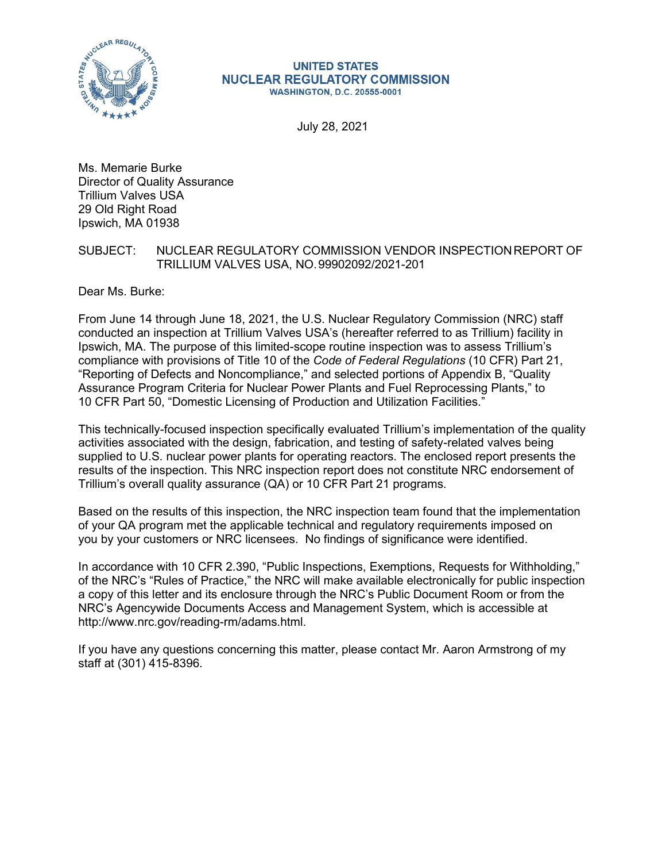

#### **UNITED STATES NUCLEAR REGULATORY COMMISSION WASHINGTON, D.C. 20555-0001**

July 28, 2021

Ms. Memarie Burke Director of Quality Assurance Trillium Valves USA 29 Old Right Road Ipswich, MA 01938

## SUBJECT: NUCLEAR REGULATORY COMMISSION VENDOR INSPECTIONREPORT OF TRILLIUM VALVES USA, NO.99902092/2021-201

Dear Ms. Burke:

From June 14 through June 18, 2021, the U.S. Nuclear Regulatory Commission (NRC) staff conducted an inspection at Trillium Valves USA's (hereafter referred to as Trillium) facility in Ipswich, MA. The purpose of this limited-scope routine inspection was to assess Trillium's compliance with provisions of Title 10 of the *Code of Federal Regulations* (10 CFR) Part 21, "Reporting of Defects and Noncompliance," and selected portions of Appendix B, "Quality Assurance Program Criteria for Nuclear Power Plants and Fuel Reprocessing Plants," to 10 CFR Part 50, "Domestic Licensing of Production and Utilization Facilities."

This technically-focused inspection specifically evaluated Trillium's implementation of the quality activities associated with the design, fabrication, and testing of safety-related valves being supplied to U.S. nuclear power plants for operating reactors. The enclosed report presents the results of the inspection. This NRC inspection report does not constitute NRC endorsement of Trillium's overall quality assurance (QA) or 10 CFR Part 21 programs.

Based on the results of this inspection, the NRC inspection team found that the implementation of your QA program met the applicable technical and regulatory requirements imposed on you by your customers or NRC licensees. No findings of significance were identified.

In accordance with 10 CFR 2.390, "Public Inspections, Exemptions, Requests for Withholding," of the NRC's "Rules of Practice," the NRC will make available electronically for public inspection a copy of this letter and its enclosure through the NRC's Public Document Room or from the NRC's Agencywide Documents Access and Management System, which is accessible at [http://www.nrc.gov/reading-rm/adams.html.](http://www.nrc.gov/reading-rm/adams.html)

If you have any questions concerning this matter, please contact Mr. Aaron Armstrong of my staff at (301) 415-8396.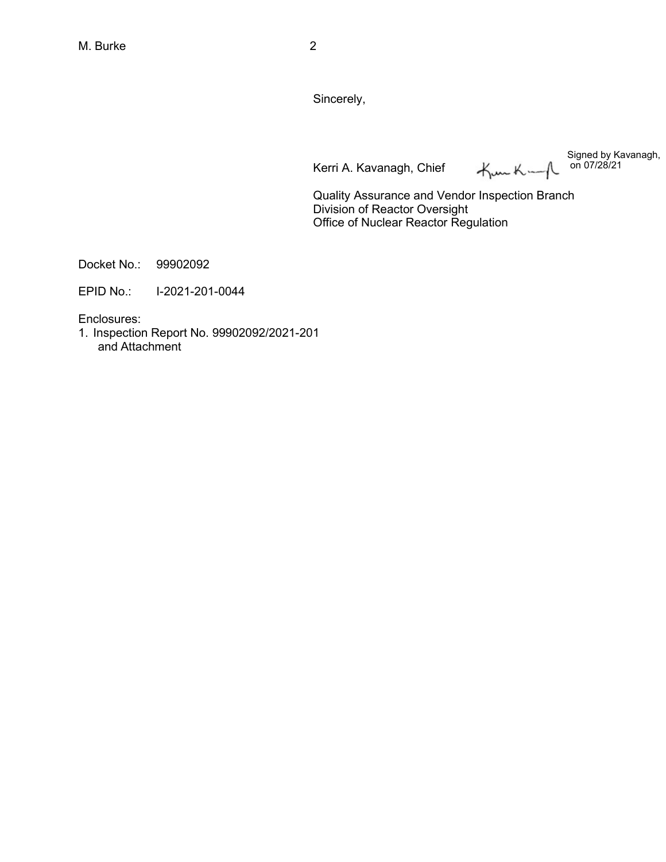Sincerely,

Kerri A. Kavanagh, Chief

Signed by Kavanagh,  $H_{\text{max}}K=\bigwedge$ on 07/28/21

Quality Assurance and Vendor Inspection Branch Division of Reactor Oversight Office of Nuclear Reactor Regulation

Docket No.: 99902092

EPID No.: I-2021-201-0044

Enclosures:

1. Inspection Report No. 99902092/2021-201 and Attachment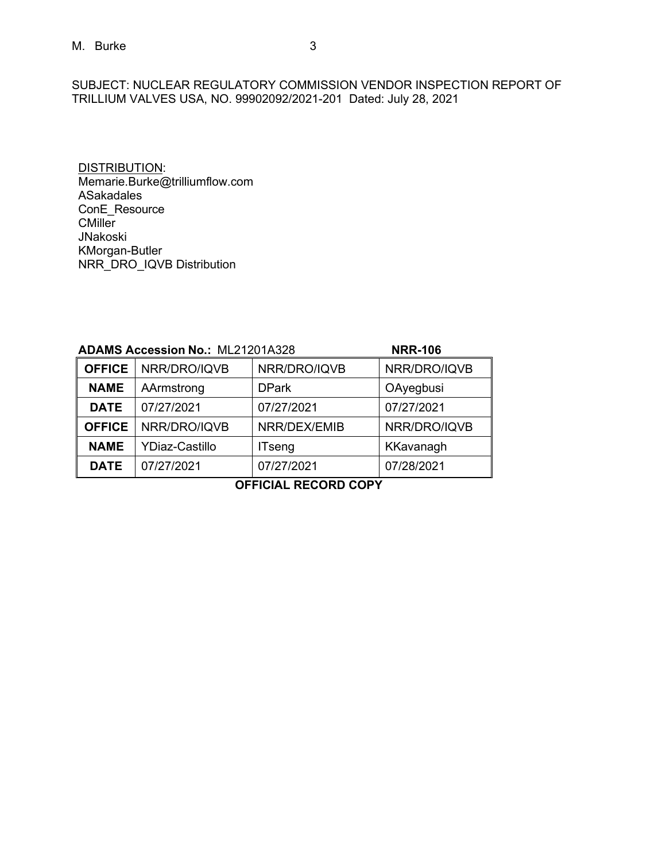SUBJECT: NUCLEAR REGULATORY COMMISSION VENDOR INSPECTION REPORT OF TRILLIUM VALVES USA, NO. 99902092/2021-201 Dated: July 28, 2021

DISTRIBUTION: [Memarie.Burke@trilliumflow.com](mailto:Memarie.Burke@trilliumflow.com) ASakadales ConE\_Resource CMiller JNakoski KMorgan-Butler NRR\_DRO\_IQVB Distribution

| <b>ADAMS Accession No.: ML21201A328</b> |                       |               | <b>NRR-106</b> |
|-----------------------------------------|-----------------------|---------------|----------------|
| <b>OFFICE</b>                           | NRR/DRO/IQVB          | NRR/DRO/IQVB  | NRR/DRO/IQVB   |
| <b>NAME</b>                             | AArmstrong            | <b>DPark</b>  | OAyegbusi      |
| <b>DATE</b>                             | 07/27/2021            | 07/27/2021    | 07/27/2021     |
| <b>OFFICE</b>                           | NRR/DRO/IQVB          | NRR/DEX/EMIB  | NRR/DRO/IQVB   |
| <b>NAME</b>                             | <b>YDiaz-Castillo</b> | <b>ITseng</b> | KKavanagh      |
| <b>DATE</b>                             | 07/27/2021            | 07/27/2021    | 07/28/2021     |

**OFFICIAL RECORD COPY**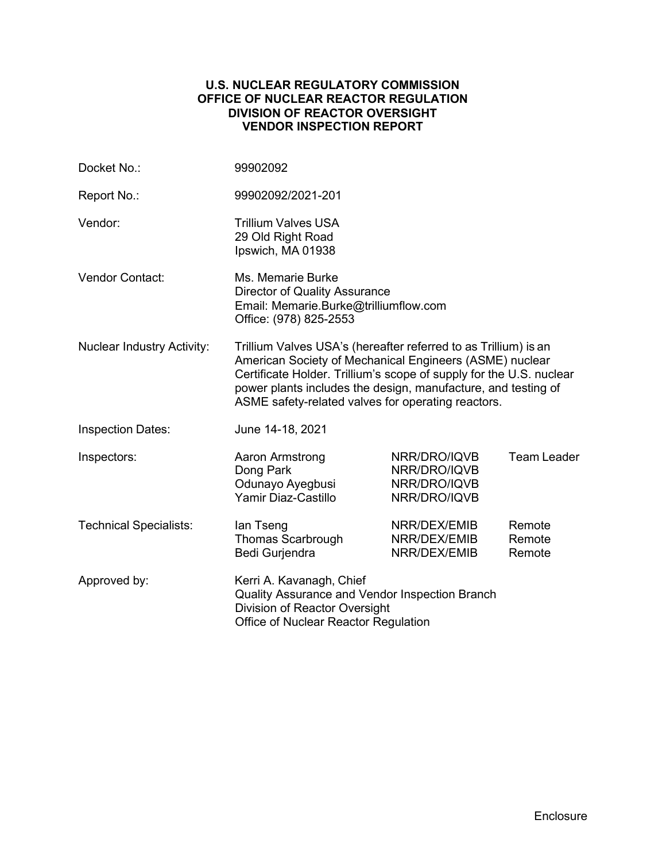## **U.S. NUCLEAR REGULATORY COMMISSION OFFICE OF NUCLEAR REACTOR REGULATION DIVISION OF REACTOR OVERSIGHT VENDOR INSPECTION REPORT**

| Docket No.:                       | 99902092                                                                                                                                                                                                                                                                                                                 |                                                              |                            |  |
|-----------------------------------|--------------------------------------------------------------------------------------------------------------------------------------------------------------------------------------------------------------------------------------------------------------------------------------------------------------------------|--------------------------------------------------------------|----------------------------|--|
| Report No.:                       | 99902092/2021-201                                                                                                                                                                                                                                                                                                        |                                                              |                            |  |
| Vendor:                           | <b>Trillium Valves USA</b><br>29 Old Right Road<br>Ipswich, MA 01938                                                                                                                                                                                                                                                     |                                                              |                            |  |
| <b>Vendor Contact:</b>            | Ms. Memarie Burke<br><b>Director of Quality Assurance</b><br>Email: Memarie.Burke@trilliumflow.com<br>Office: (978) 825-2553                                                                                                                                                                                             |                                                              |                            |  |
| <b>Nuclear Industry Activity:</b> | Trillium Valves USA's (hereafter referred to as Trillium) is an<br>American Society of Mechanical Engineers (ASME) nuclear<br>Certificate Holder. Trillium's scope of supply for the U.S. nuclear<br>power plants includes the design, manufacture, and testing of<br>ASME safety-related valves for operating reactors. |                                                              |                            |  |
| <b>Inspection Dates:</b>          | June 14-18, 2021                                                                                                                                                                                                                                                                                                         |                                                              |                            |  |
| Inspectors:                       | Aaron Armstrong<br>Dong Park<br>Odunayo Ayegbusi<br>Yamir Diaz-Castillo                                                                                                                                                                                                                                                  | NRR/DRO/IQVB<br>NRR/DRO/IQVB<br>NRR/DRO/IQVB<br>NRR/DRO/IQVB | <b>Team Leader</b>         |  |
| <b>Technical Specialists:</b>     | lan Tseng<br><b>Thomas Scarbrough</b><br>Bedi Gurjendra                                                                                                                                                                                                                                                                  | NRR/DEX/EMIB<br>NRR/DEX/EMIB<br>NRR/DEX/EMIB                 | Remote<br>Remote<br>Remote |  |
| Approved by:                      | Kerri A. Kavanagh, Chief<br>Quality Assurance and Vendor Inspection Branch<br>Division of Reactor Oversight<br>Office of Nuclear Reactor Regulation                                                                                                                                                                      |                                                              |                            |  |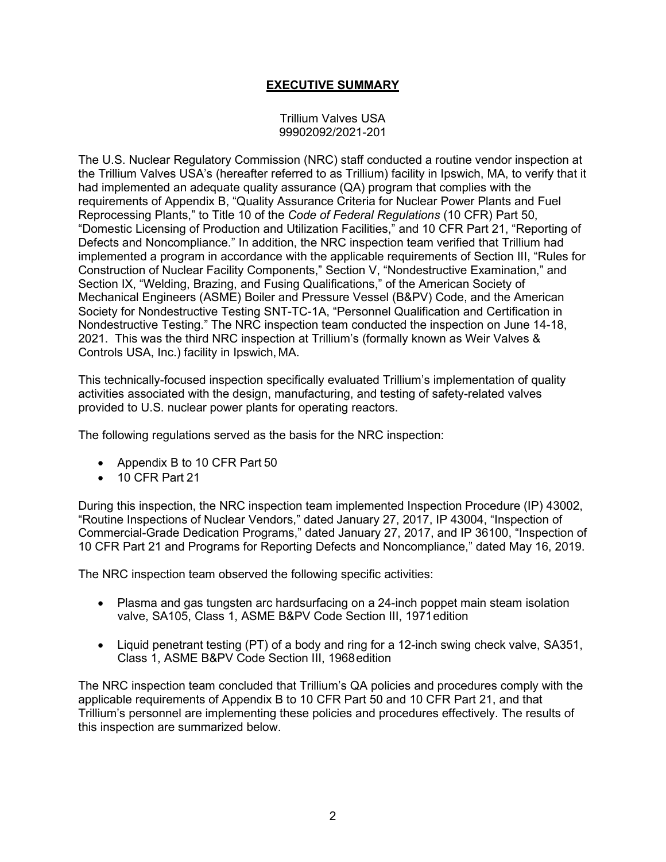# **EXECUTIVE SUMMARY**

### Trillium Valves USA 99902092/2021-201

The U.S. Nuclear Regulatory Commission (NRC) staff conducted a routine vendor inspection at the Trillium Valves USA's (hereafter referred to as Trillium) facility in Ipswich, MA, to verify that it had implemented an adequate quality assurance (QA) program that complies with the requirements of Appendix B, "Quality Assurance Criteria for Nuclear Power Plants and Fuel Reprocessing Plants," to Title 10 of the *Code of Federal Regulations* (10 CFR) Part 50, "Domestic Licensing of Production and Utilization Facilities," and 10 CFR Part 21, "Reporting of Defects and Noncompliance." In addition, the NRC inspection team verified that Trillium had implemented a program in accordance with the applicable requirements of Section III, "Rules for Construction of Nuclear Facility Components," Section V, "Nondestructive Examination," and Section IX, "Welding, Brazing, and Fusing Qualifications," of the American Society of Mechanical Engineers (ASME) Boiler and Pressure Vessel (B&PV) Code, and the American Society for Nondestructive Testing SNT-TC-1A, "Personnel Qualification and Certification in Nondestructive Testing." The NRC inspection team conducted the inspection on June 14-18, 2021. This was the third NRC inspection at Trillium's (formally known as Weir Valves & Controls USA, Inc.) facility in Ipswich, MA.

This technically-focused inspection specifically evaluated Trillium's implementation of quality activities associated with the design, manufacturing, and testing of safety-related valves provided to U.S. nuclear power plants for operating reactors.

The following regulations served as the basis for the NRC inspection:

- Appendix B to 10 CFR Part 50
- $\bullet$  10 CFR Part 21

During this inspection, the NRC inspection team implemented Inspection Procedure (IP) 43002, "Routine Inspections of Nuclear Vendors," dated January 27, 2017, IP 43004, "Inspection of Commercial-Grade Dedication Programs," dated January 27, 2017, and IP 36100, "Inspection of 10 CFR Part 21 and Programs for Reporting Defects and Noncompliance," dated May 16, 2019.

The NRC inspection team observed the following specific activities:

- Plasma and gas tungsten arc hardsurfacing on a 24-inch poppet main steam isolation valve, SA105, Class 1, ASME B&PV Code Section III, 1971edition
- Liquid penetrant testing (PT) of a body and ring for a 12-inch swing check valve, SA351, Class 1, ASME B&PV Code Section III, 1968edition

The NRC inspection team concluded that Trillium's QA policies and procedures comply with the applicable requirements of Appendix B to 10 CFR Part 50 and 10 CFR Part 21, and that Trillium's personnel are implementing these policies and procedures effectively. The results of this inspection are summarized below.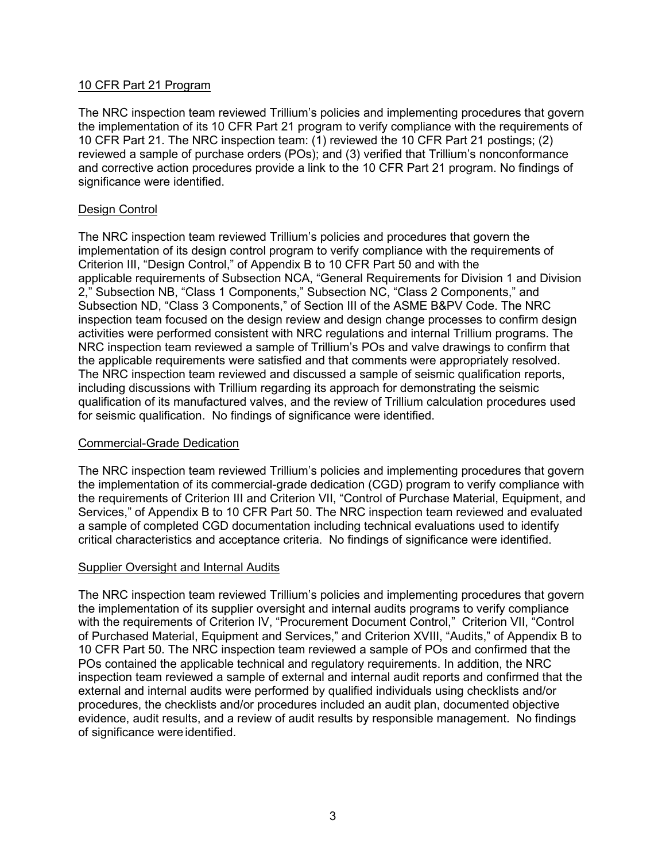# 10 CFR Part 21 Program

The NRC inspection team reviewed Trillium's policies and implementing procedures that govern the implementation of its 10 CFR Part 21 program to verify compliance with the requirements of 10 CFR Part 21. The NRC inspection team: (1) reviewed the 10 CFR Part 21 postings; (2) reviewed a sample of purchase orders (POs); and (3) verified that Trillium's nonconformance and corrective action procedures provide a link to the 10 CFR Part 21 program. No findings of significance were identified.

# Design Control

The NRC inspection team reviewed Trillium's policies and procedures that govern the implementation of its design control program to verify compliance with the requirements of Criterion III, "Design Control," of Appendix B to 10 CFR Part 50 and with the applicable requirements of Subsection NCA, "General Requirements for Division 1 and Division 2," Subsection NB, "Class 1 Components," Subsection NC, "Class 2 Components," and Subsection ND, "Class 3 Components," of Section III of the ASME B&PV Code. The NRC inspection team focused on the design review and design change processes to confirm design activities were performed consistent with NRC regulations and internal Trillium programs. The NRC inspection team reviewed a sample of Trillium's POs and valve drawings to confirm that the applicable requirements were satisfied and that comments were appropriately resolved. The NRC inspection team reviewed and discussed a sample of seismic qualification reports, including discussions with Trillium regarding its approach for demonstrating the seismic qualification of its manufactured valves, and the review of Trillium calculation procedures used for seismic qualification. No findings of significance were identified.

# Commercial-Grade Dedication

The NRC inspection team reviewed Trillium's policies and implementing procedures that govern the implementation of its commercial-grade dedication (CGD) program to verify compliance with the requirements of Criterion III and Criterion VII, "Control of Purchase Material, Equipment, and Services," of Appendix B to 10 CFR Part 50. The NRC inspection team reviewed and evaluated a sample of completed CGD documentation including technical evaluations used to identify critical characteristics and acceptance criteria. No findings of significance were identified.

# Supplier Oversight and Internal Audits

The NRC inspection team reviewed Trillium's policies and implementing procedures that govern the implementation of its supplier oversight and internal audits programs to verify compliance with the requirements of Criterion IV, "Procurement Document Control," Criterion VII, "Control of Purchased Material, Equipment and Services," and Criterion XVIII, "Audits," of Appendix B to 10 CFR Part 50. The NRC inspection team reviewed a sample of POs and confirmed that the POs contained the applicable technical and regulatory requirements. In addition, the NRC inspection team reviewed a sample of external and internal audit reports and confirmed that the external and internal audits were performed by qualified individuals using checklists and/or procedures, the checklists and/or procedures included an audit plan, documented objective evidence, audit results, and a review of audit results by responsible management. No findings of significance were identified.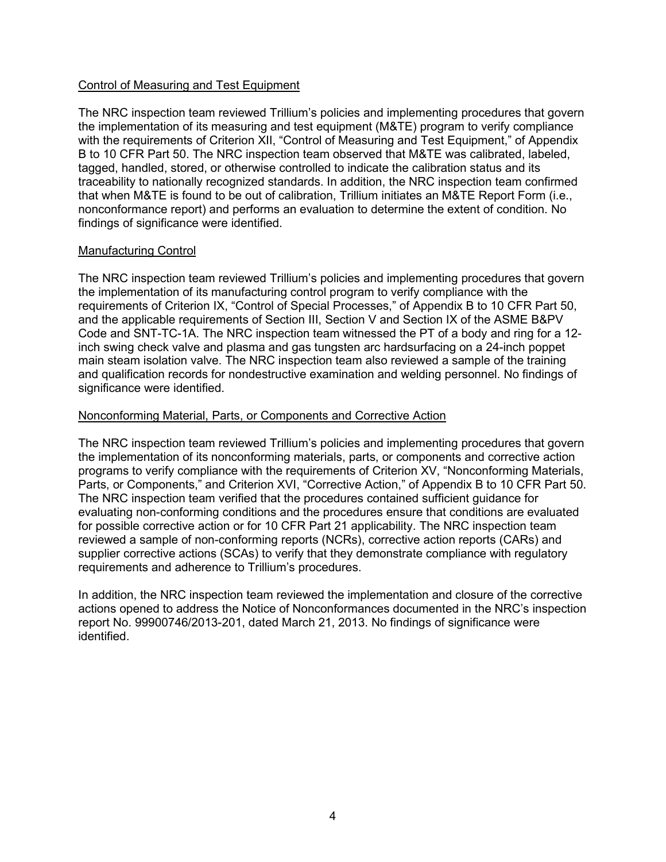## Control of Measuring and Test Equipment

The NRC inspection team reviewed Trillium's policies and implementing procedures that govern the implementation of its measuring and test equipment (M&TE) program to verify compliance with the requirements of Criterion XII, "Control of Measuring and Test Equipment," of Appendix B to 10 CFR Part 50. The NRC inspection team observed that M&TE was calibrated, labeled, tagged, handled, stored, or otherwise controlled to indicate the calibration status and its traceability to nationally recognized standards. In addition, the NRC inspection team confirmed that when M&TE is found to be out of calibration, Trillium initiates an M&TE Report Form (i.e., nonconformance report) and performs an evaluation to determine the extent of condition. No findings of significance were identified.

## Manufacturing Control

The NRC inspection team reviewed Trillium's policies and implementing procedures that govern the implementation of its manufacturing control program to verify compliance with the requirements of Criterion IX, "Control of Special Processes," of Appendix B to 10 CFR Part 50, and the applicable requirements of Section III, Section V and Section IX of the ASME B&PV Code and SNT-TC-1A. The NRC inspection team witnessed the PT of a body and ring for a 12 inch swing check valve and plasma and gas tungsten arc hardsurfacing on a 24-inch poppet main steam isolation valve. The NRC inspection team also reviewed a sample of the training and qualification records for nondestructive examination and welding personnel. No findings of significance were identified.

## Nonconforming Material, Parts, or Components and Corrective Action

The NRC inspection team reviewed Trillium's policies and implementing procedures that govern the implementation of its nonconforming materials, parts, or components and corrective action programs to verify compliance with the requirements of Criterion XV, "Nonconforming Materials, Parts, or Components," and Criterion XVI, "Corrective Action," of Appendix B to 10 CFR Part 50. The NRC inspection team verified that the procedures contained sufficient guidance for evaluating non-conforming conditions and the procedures ensure that conditions are evaluated for possible corrective action or for 10 CFR Part 21 applicability. The NRC inspection team reviewed a sample of non-conforming reports (NCRs), corrective action reports (CARs) and supplier corrective actions (SCAs) to verify that they demonstrate compliance with regulatory requirements and adherence to Trillium's procedures.

In addition, the NRC inspection team reviewed the implementation and closure of the corrective actions opened to address the Notice of Nonconformances documented in the NRC's inspection report No. 99900746/2013-201, dated March 21, 2013. No findings of significance were identified.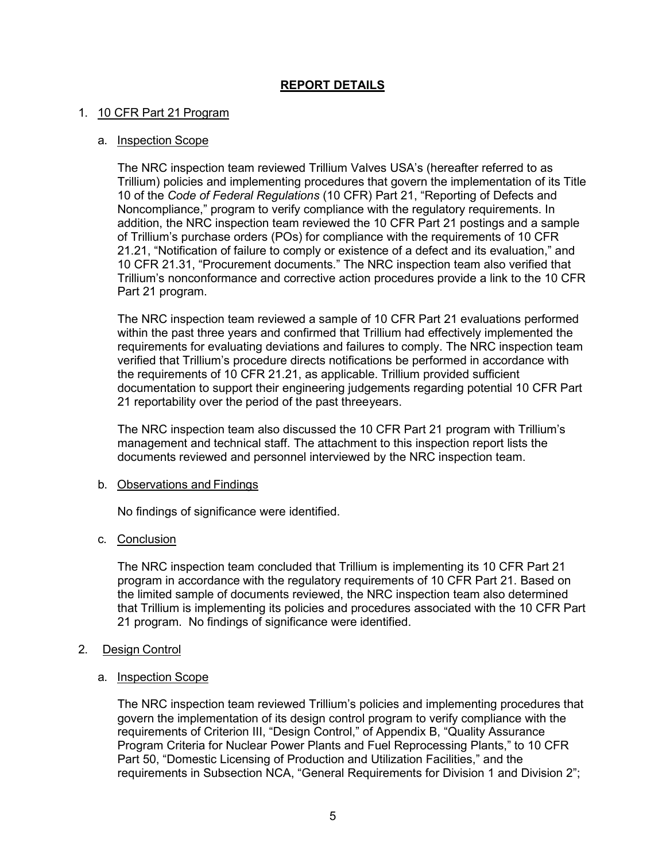# **REPORT DETAILS**

## 1. 10 CFR Part 21 Program

### a. Inspection Scope

The NRC inspection team reviewed Trillium Valves USA's (hereafter referred to as Trillium) policies and implementing procedures that govern the implementation of its Title 10 of the *Code of Federal Regulations* (10 CFR) Part 21, "Reporting of Defects and Noncompliance," program to verify compliance with the regulatory requirements. In addition, the NRC inspection team reviewed the 10 CFR Part 21 postings and a sample of Trillium's purchase orders (POs) for compliance with the requirements of 10 CFR 21.21, "Notification of failure to comply or existence of a defect and its evaluation," and 10 CFR 21.31, "Procurement documents." The NRC inspection team also verified that Trillium's nonconformance and corrective action procedures provide a link to the 10 CFR Part 21 program.

The NRC inspection team reviewed a sample of 10 CFR Part 21 evaluations performed within the past three years and confirmed that Trillium had effectively implemented the requirements for evaluating deviations and failures to comply. The NRC inspection team verified that Trillium's procedure directs notifications be performed in accordance with the requirements of 10 CFR 21.21, as applicable. Trillium provided sufficient documentation to support their engineering judgements regarding potential 10 CFR Part 21 reportability over the period of the past threeyears.

The NRC inspection team also discussed the 10 CFR Part 21 program with Trillium's management and technical staff. The attachment to this inspection report lists the documents reviewed and personnel interviewed by the NRC inspection team.

#### b. Observations and Findings

No findings of significance were identified.

#### c. Conclusion

The NRC inspection team concluded that Trillium is implementing its 10 CFR Part 21 program in accordance with the regulatory requirements of 10 CFR Part 21. Based on the limited sample of documents reviewed, the NRC inspection team also determined that Trillium is implementing its policies and procedures associated with the 10 CFR Part 21 program. No findings of significance were identified.

# 2. Design Control

#### a. Inspection Scope

The NRC inspection team reviewed Trillium's policies and implementing procedures that govern the implementation of its design control program to verify compliance with the requirements of Criterion III, "Design Control," of Appendix B, "Quality Assurance Program Criteria for Nuclear Power Plants and Fuel Reprocessing Plants," to 10 CFR Part 50, "Domestic Licensing of Production and Utilization Facilities," and the requirements in Subsection NCA, "General Requirements for Division 1 and Division 2";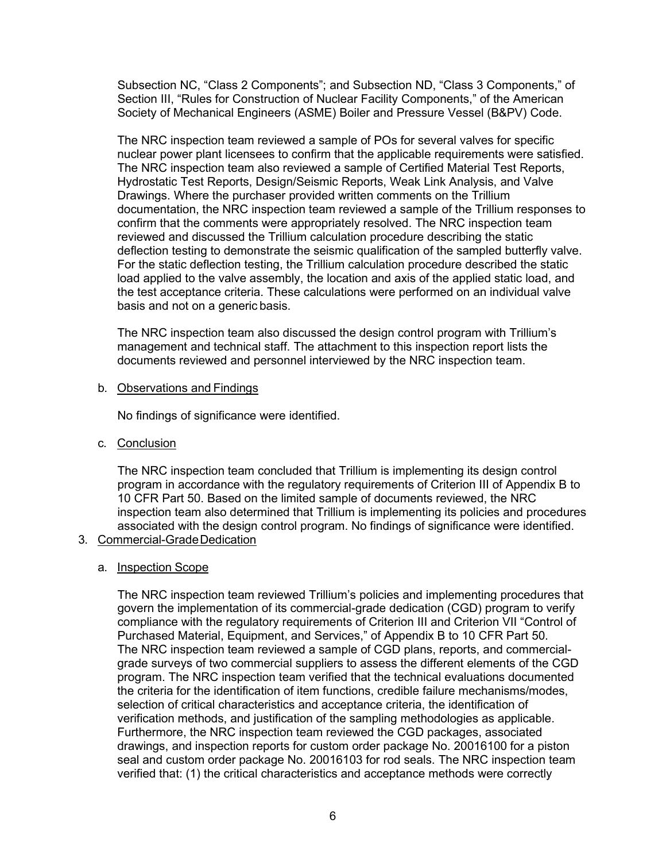Subsection NC, "Class 2 Components"; and Subsection ND, "Class 3 Components," of Section III, "Rules for Construction of Nuclear Facility Components," of the American Society of Mechanical Engineers (ASME) Boiler and Pressure Vessel (B&PV) Code.

The NRC inspection team reviewed a sample of POs for several valves for specific nuclear power plant licensees to confirm that the applicable requirements were satisfied. The NRC inspection team also reviewed a sample of Certified Material Test Reports, Hydrostatic Test Reports, Design/Seismic Reports, Weak Link Analysis, and Valve Drawings. Where the purchaser provided written comments on the Trillium documentation, the NRC inspection team reviewed a sample of the Trillium responses to confirm that the comments were appropriately resolved. The NRC inspection team reviewed and discussed the Trillium calculation procedure describing the static deflection testing to demonstrate the seismic qualification of the sampled butterfly valve. For the static deflection testing, the Trillium calculation procedure described the static load applied to the valve assembly, the location and axis of the applied static load, and the test acceptance criteria. These calculations were performed on an individual valve basis and not on a generic basis.

The NRC inspection team also discussed the design control program with Trillium's management and technical staff. The attachment to this inspection report lists the documents reviewed and personnel interviewed by the NRC inspection team.

#### b. Observations and Findings

No findings of significance were identified.

c. Conclusion

The NRC inspection team concluded that Trillium is implementing its design control program in accordance with the regulatory requirements of Criterion III of Appendix B to 10 CFR Part 50. Based on the limited sample of documents reviewed, the NRC inspection team also determined that Trillium is implementing its policies and procedures associated with the design control program. No findings of significance were identified.

3. Commercial-GradeDedication

# a. Inspection Scope

The NRC inspection team reviewed Trillium's policies and implementing procedures that govern the implementation of its commercial-grade dedication (CGD) program to verify compliance with the regulatory requirements of Criterion III and Criterion VII "Control of Purchased Material, Equipment, and Services," of Appendix B to 10 CFR Part 50. The NRC inspection team reviewed a sample of CGD plans, reports, and commercialgrade surveys of two commercial suppliers to assess the different elements of the CGD program. The NRC inspection team verified that the technical evaluations documented the criteria for the identification of item functions, credible failure mechanisms/modes, selection of critical characteristics and acceptance criteria, the identification of verification methods, and justification of the sampling methodologies as applicable. Furthermore, the NRC inspection team reviewed the CGD packages, associated drawings, and inspection reports for custom order package No. 20016100 for a piston seal and custom order package No. 20016103 for rod seals. The NRC inspection team verified that: (1) the critical characteristics and acceptance methods were correctly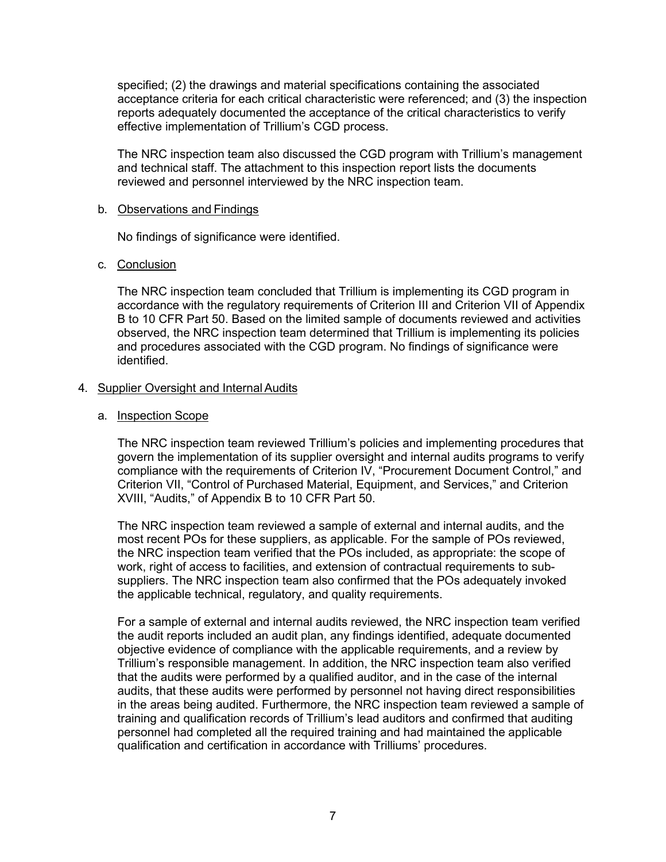specified; (2) the drawings and material specifications containing the associated acceptance criteria for each critical characteristic were referenced; and (3) the inspection reports adequately documented the acceptance of the critical characteristics to verify effective implementation of Trillium's CGD process.

The NRC inspection team also discussed the CGD program with Trillium's management and technical staff. The attachment to this inspection report lists the documents reviewed and personnel interviewed by the NRC inspection team.

#### b. Observations and Findings

No findings of significance were identified.

#### c. Conclusion

The NRC inspection team concluded that Trillium is implementing its CGD program in accordance with the regulatory requirements of Criterion III and Criterion VII of Appendix B to 10 CFR Part 50. Based on the limited sample of documents reviewed and activities observed, the NRC inspection team determined that Trillium is implementing its policies and procedures associated with the CGD program. No findings of significance were identified.

#### 4. Supplier Oversight and Internal Audits

#### a. Inspection Scope

The NRC inspection team reviewed Trillium's policies and implementing procedures that govern the implementation of its supplier oversight and internal audits programs to verify compliance with the requirements of Criterion IV, "Procurement Document Control," and Criterion VII, "Control of Purchased Material, Equipment, and Services," and Criterion XVIII, "Audits," of Appendix B to 10 CFR Part 50.

The NRC inspection team reviewed a sample of external and internal audits, and the most recent POs for these suppliers, as applicable. For the sample of POs reviewed, the NRC inspection team verified that the POs included, as appropriate: the scope of work, right of access to facilities, and extension of contractual requirements to subsuppliers. The NRC inspection team also confirmed that the POs adequately invoked the applicable technical, regulatory, and quality requirements.

For a sample of external and internal audits reviewed, the NRC inspection team verified the audit reports included an audit plan, any findings identified, adequate documented objective evidence of compliance with the applicable requirements, and a review by Trillium's responsible management. In addition, the NRC inspection team also verified that the audits were performed by a qualified auditor, and in the case of the internal audits, that these audits were performed by personnel not having direct responsibilities in the areas being audited. Furthermore, the NRC inspection team reviewed a sample of training and qualification records of Trillium's lead auditors and confirmed that auditing personnel had completed all the required training and had maintained the applicable qualification and certification in accordance with Trilliums' procedures.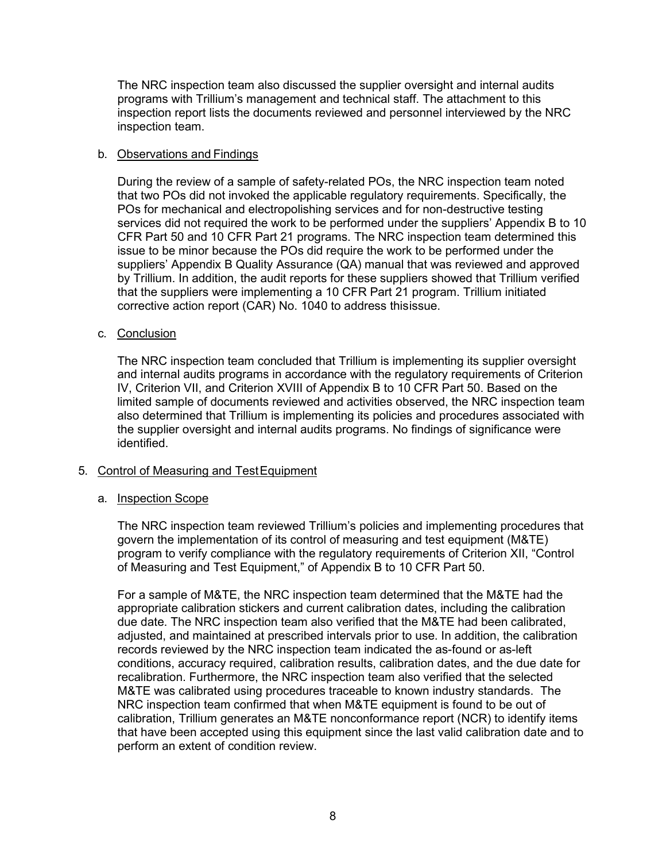The NRC inspection team also discussed the supplier oversight and internal audits programs with Trillium's management and technical staff. The attachment to this inspection report lists the documents reviewed and personnel interviewed by the NRC inspection team.

## b. Observations and Findings

During the review of a sample of safety-related POs, the NRC inspection team noted that two POs did not invoked the applicable regulatory requirements. Specifically, the POs for mechanical and electropolishing services and for non-destructive testing services did not required the work to be performed under the suppliers' Appendix B to 10 CFR Part 50 and 10 CFR Part 21 programs. The NRC inspection team determined this issue to be minor because the POs did require the work to be performed under the suppliers' Appendix B Quality Assurance (QA) manual that was reviewed and approved by Trillium. In addition, the audit reports for these suppliers showed that Trillium verified that the suppliers were implementing a 10 CFR Part 21 program. Trillium initiated corrective action report (CAR) No. 1040 to address thisissue.

## c. Conclusion

The NRC inspection team concluded that Trillium is implementing its supplier oversight and internal audits programs in accordance with the regulatory requirements of Criterion IV, Criterion VII, and Criterion XVIII of Appendix B to 10 CFR Part 50. Based on the limited sample of documents reviewed and activities observed, the NRC inspection team also determined that Trillium is implementing its policies and procedures associated with the supplier oversight and internal audits programs. No findings of significance were identified.

# 5. Control of Measuring and TestEquipment

#### a. Inspection Scope

The NRC inspection team reviewed Trillium's policies and implementing procedures that govern the implementation of its control of measuring and test equipment (M&TE) program to verify compliance with the regulatory requirements of Criterion XII, "Control of Measuring and Test Equipment," of Appendix B to 10 CFR Part 50.

For a sample of M&TE, the NRC inspection team determined that the M&TE had the appropriate calibration stickers and current calibration dates, including the calibration due date. The NRC inspection team also verified that the M&TE had been calibrated, adjusted, and maintained at prescribed intervals prior to use. In addition, the calibration records reviewed by the NRC inspection team indicated the as-found or as-left conditions, accuracy required, calibration results, calibration dates, and the due date for recalibration. Furthermore, the NRC inspection team also verified that the selected M&TE was calibrated using procedures traceable to known industry standards. The NRC inspection team confirmed that when M&TE equipment is found to be out of calibration, Trillium generates an M&TE nonconformance report (NCR) to identify items that have been accepted using this equipment since the last valid calibration date and to perform an extent of condition review.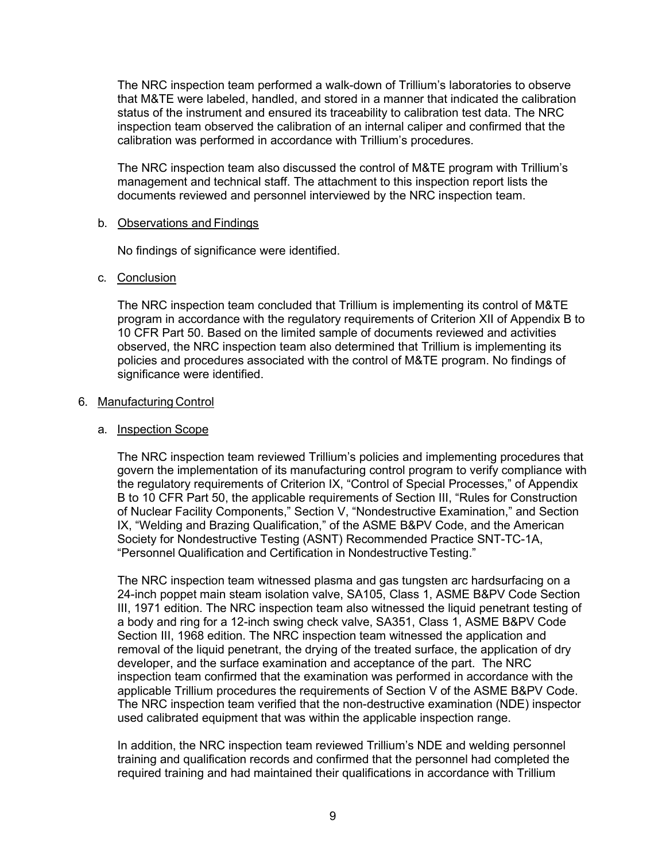The NRC inspection team performed a walk-down of Trillium's laboratories to observe that M&TE were labeled, handled, and stored in a manner that indicated the calibration status of the instrument and ensured its traceability to calibration test data. The NRC inspection team observed the calibration of an internal caliper and confirmed that the calibration was performed in accordance with Trillium's procedures.

The NRC inspection team also discussed the control of M&TE program with Trillium's management and technical staff. The attachment to this inspection report lists the documents reviewed and personnel interviewed by the NRC inspection team.

### b. Observations and Findings

No findings of significance were identified.

# c. Conclusion

The NRC inspection team concluded that Trillium is implementing its control of M&TE program in accordance with the regulatory requirements of Criterion XII of Appendix B to 10 CFR Part 50. Based on the limited sample of documents reviewed and activities observed, the NRC inspection team also determined that Trillium is implementing its policies and procedures associated with the control of M&TE program. No findings of significance were identified.

## 6. Manufacturing Control

## a. Inspection Scope

The NRC inspection team reviewed Trillium's policies and implementing procedures that govern the implementation of its manufacturing control program to verify compliance with the regulatory requirements of Criterion IX, "Control of Special Processes," of Appendix B to 10 CFR Part 50, the applicable requirements of Section III, "Rules for Construction of Nuclear Facility Components," Section V, "Nondestructive Examination," and Section IX, "Welding and Brazing Qualification," of the ASME B&PV Code, and the American Society for Nondestructive Testing (ASNT) Recommended Practice SNT-TC-1A, "Personnel Qualification and Certification in Nondestructive Testing."

The NRC inspection team witnessed plasma and gas tungsten arc hardsurfacing on a 24-inch poppet main steam isolation valve, SA105, Class 1, ASME B&PV Code Section III, 1971 edition. The NRC inspection team also witnessed the liquid penetrant testing of a body and ring for a 12-inch swing check valve, SA351, Class 1, ASME B&PV Code Section III, 1968 edition. The NRC inspection team witnessed the application and removal of the liquid penetrant, the drying of the treated surface, the application of dry developer, and the surface examination and acceptance of the part. The NRC inspection team confirmed that the examination was performed in accordance with the applicable Trillium procedures the requirements of Section V of the ASME B&PV Code. The NRC inspection team verified that the non-destructive examination (NDE) inspector used calibrated equipment that was within the applicable inspection range.

In addition, the NRC inspection team reviewed Trillium's NDE and welding personnel training and qualification records and confirmed that the personnel had completed the required training and had maintained their qualifications in accordance with Trillium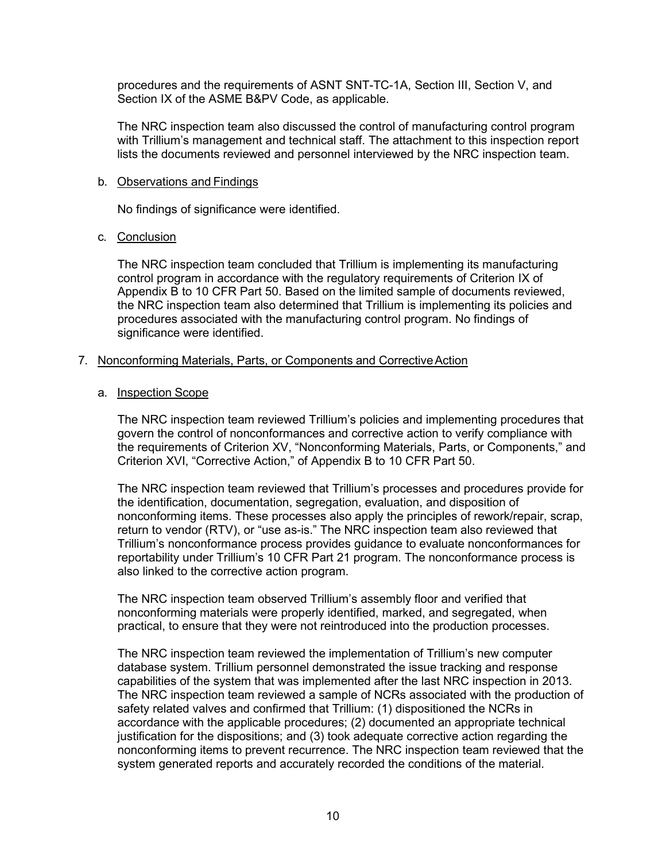procedures and the requirements of ASNT SNT-TC-1A, Section III, Section V, and Section IX of the ASME B&PV Code, as applicable.

The NRC inspection team also discussed the control of manufacturing control program with Trillium's management and technical staff. The attachment to this inspection report lists the documents reviewed and personnel interviewed by the NRC inspection team.

#### b. Observations and Findings

No findings of significance were identified.

#### c. Conclusion

The NRC inspection team concluded that Trillium is implementing its manufacturing control program in accordance with the regulatory requirements of Criterion IX of Appendix B to 10 CFR Part 50. Based on the limited sample of documents reviewed, the NRC inspection team also determined that Trillium is implementing its policies and procedures associated with the manufacturing control program. No findings of significance were identified.

## 7. Nonconforming Materials, Parts, or Components and CorrectiveAction

## a. Inspection Scope

The NRC inspection team reviewed Trillium's policies and implementing procedures that govern the control of nonconformances and corrective action to verify compliance with the requirements of Criterion XV, "Nonconforming Materials, Parts, or Components," and Criterion XVI, "Corrective Action," of Appendix B to 10 CFR Part 50.

The NRC inspection team reviewed that Trillium's processes and procedures provide for the identification, documentation, segregation, evaluation, and disposition of nonconforming items. These processes also apply the principles of rework/repair, scrap, return to vendor (RTV), or "use as-is." The NRC inspection team also reviewed that Trillium's nonconformance process provides guidance to evaluate nonconformances for reportability under Trillium's 10 CFR Part 21 program. The nonconformance process is also linked to the corrective action program.

The NRC inspection team observed Trillium's assembly floor and verified that nonconforming materials were properly identified, marked, and segregated, when practical, to ensure that they were not reintroduced into the production processes.

The NRC inspection team reviewed the implementation of Trillium's new computer database system. Trillium personnel demonstrated the issue tracking and response capabilities of the system that was implemented after the last NRC inspection in 2013. The NRC inspection team reviewed a sample of NCRs associated with the production of safety related valves and confirmed that Trillium: (1) dispositioned the NCRs in accordance with the applicable procedures; (2) documented an appropriate technical justification for the dispositions; and (3) took adequate corrective action regarding the nonconforming items to prevent recurrence. The NRC inspection team reviewed that the system generated reports and accurately recorded the conditions of the material.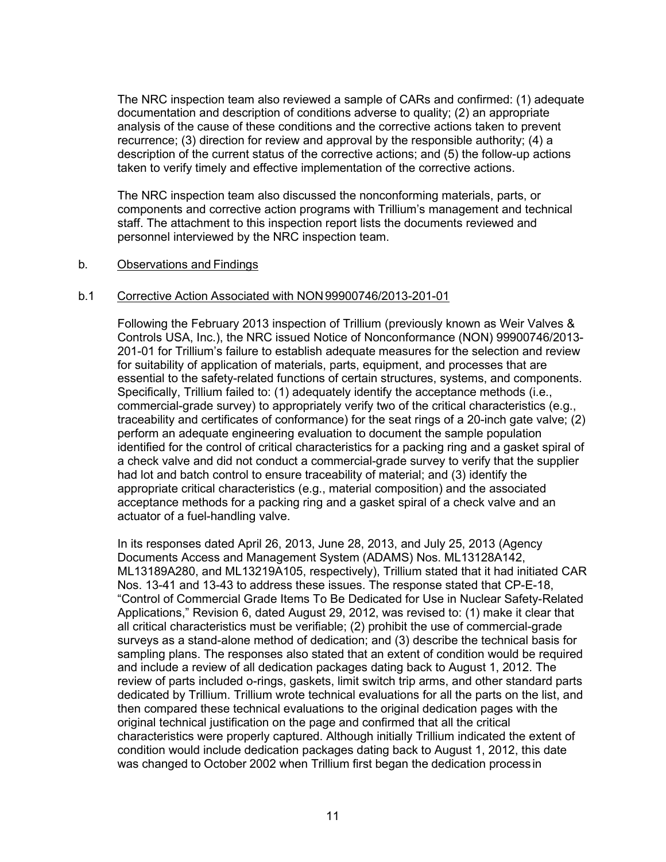The NRC inspection team also reviewed a sample of CARs and confirmed: (1) adequate documentation and description of conditions adverse to quality; (2) an appropriate analysis of the cause of these conditions and the corrective actions taken to prevent recurrence; (3) direction for review and approval by the responsible authority; (4) a description of the current status of the corrective actions; and (5) the follow-up actions taken to verify timely and effective implementation of the corrective actions.

The NRC inspection team also discussed the nonconforming materials, parts, or components and corrective action programs with Trillium's management and technical staff. The attachment to this inspection report lists the documents reviewed and personnel interviewed by the NRC inspection team.

## b. Observations and Findings

## b.1 Corrective Action Associated with NON99900746/2013-201-01

Following the February 2013 inspection of Trillium (previously known as Weir Valves & Controls USA, Inc.), the NRC issued Notice of Nonconformance (NON) 99900746/2013- 201-01 for Trillium's failure to establish adequate measures for the selection and review for suitability of application of materials, parts, equipment, and processes that are essential to the safety-related functions of certain structures, systems, and components. Specifically, Trillium failed to: (1) adequately identify the acceptance methods (i.e., commercial-grade survey) to appropriately verify two of the critical characteristics (e.g., traceability and certificates of conformance) for the seat rings of a 20-inch gate valve; (2) perform an adequate engineering evaluation to document the sample population identified for the control of critical characteristics for a packing ring and a gasket spiral of a check valve and did not conduct a commercial-grade survey to verify that the supplier had lot and batch control to ensure traceability of material; and (3) identify the appropriate critical characteristics (e.g., material composition) and the associated acceptance methods for a packing ring and a gasket spiral of a check valve and an actuator of a fuel-handling valve.

In its responses dated April 26, 2013, June 28, 2013, and July 25, 2013 (Agency Documents Access and Management System (ADAMS) Nos. ML13128A142, ML13189A280, and ML13219A105, respectively), Trillium stated that it had initiated CAR Nos. 13-41 and 13-43 to address these issues. The response stated that CP-E-18, "Control of Commercial Grade Items To Be Dedicated for Use in Nuclear Safety-Related Applications," Revision 6, dated August 29, 2012, was revised to: (1) make it clear that all critical characteristics must be verifiable; (2) prohibit the use of commercial-grade surveys as a stand-alone method of dedication; and (3) describe the technical basis for sampling plans. The responses also stated that an extent of condition would be required and include a review of all dedication packages dating back to August 1, 2012. The review of parts included o-rings, gaskets, limit switch trip arms, and other standard parts dedicated by Trillium. Trillium wrote technical evaluations for all the parts on the list, and then compared these technical evaluations to the original dedication pages with the original technical justification on the page and confirmed that all the critical characteristics were properly captured. Although initially Trillium indicated the extent of condition would include dedication packages dating back to August 1, 2012, this date was changed to October 2002 when Trillium first began the dedication processin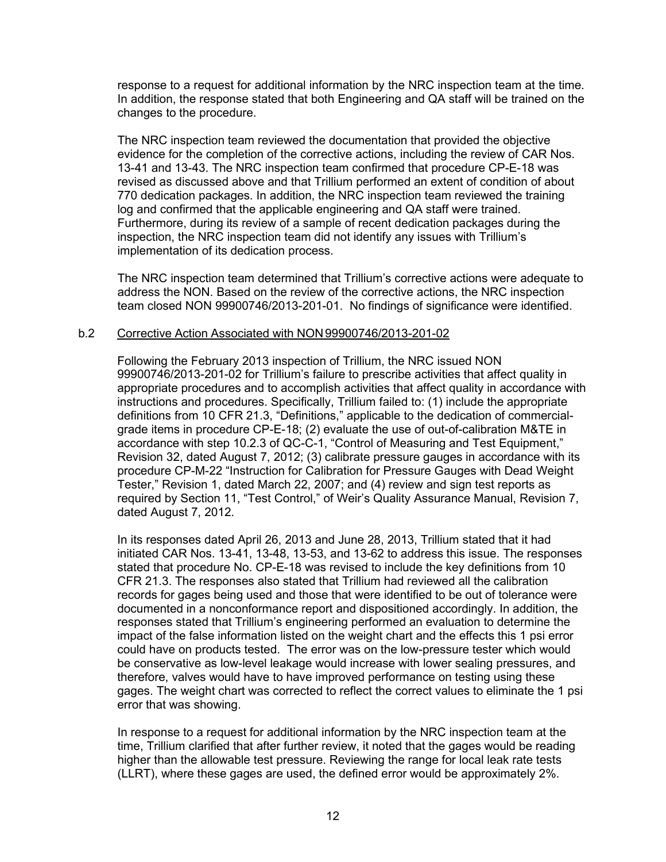response to a request for additional information by the NRC inspection team at the time. In addition, the response stated that both Engineering and QA staff will be trained on the changes to the procedure.

The NRC inspection team reviewed the documentation that provided the objective evidence for the completion of the corrective actions, including the review of CAR Nos. 13-41 and 13-43. The NRC inspection team confirmed that procedure CP-E-18 was revised as discussed above and that Trillium performed an extent of condition of about 770 dedication packages. In addition, the NRC inspection team reviewed the training log and confirmed that the applicable engineering and QA staff were trained. Furthermore, during its review of a sample of recent dedication packages during the inspection, the NRC inspection team did not identify any issues with Trillium's implementation of its dedication process.

The NRC inspection team determined that Trillium's corrective actions were adequate to address the NON. Based on the review of the corrective actions, the NRC inspection team closed NON 99900746/2013-201-01. No findings of significance were identified.

#### b.2 Corrective Action Associated with NON99900746/2013-201-02

Following the February 2013 inspection of Trillium, the NRC issued NON 99900746/2013-201-02 for Trillium's failure to prescribe activities that affect quality in appropriate procedures and to accomplish activities that affect quality in accordance with instructions and procedures. Specifically, Trillium failed to: (1) include the appropriate definitions from 10 CFR 21.3, "Definitions," applicable to the dedication of commercialgrade items in procedure CP-E-18; (2) evaluate the use of out-of-calibration M&TE in accordance with step 10.2.3 of QC-C-1, "Control of Measuring and Test Equipment," Revision 32, dated August 7, 2012; (3) calibrate pressure gauges in accordance with its procedure CP-M-22 "Instruction for Calibration for Pressure Gauges with Dead Weight Tester," Revision 1, dated March 22, 2007; and (4) review and sign test reports as required by Section 11, "Test Control," of Weir's Quality Assurance Manual, Revision 7, dated August 7, 2012.

In its responses dated April 26, 2013 and June 28, 2013, Trillium stated that it had initiated CAR Nos. 13-41, 13-48, 13-53, and 13-62 to address this issue. The responses stated that procedure No. CP-E-18 was revised to include the key definitions from 10 CFR 21.3. The responses also stated that Trillium had reviewed all the calibration records for gages being used and those that were identified to be out of tolerance were documented in a nonconformance report and dispositioned accordingly. In addition, the responses stated that Trillium's engineering performed an evaluation to determine the impact of the false information listed on the weight chart and the effects this 1 psi error could have on products tested. The error was on the low-pressure tester which would be conservative as low-level leakage would increase with lower sealing pressures, and therefore, valves would have to have improved performance on testing using these gages. The weight chart was corrected to reflect the correct values to eliminate the 1 psi error that was showing.

In response to a request for additional information by the NRC inspection team at the time, Trillium clarified that after further review, it noted that the gages would be reading higher than the allowable test pressure. Reviewing the range for local leak rate tests (LLRT), where these gages are used, the defined error would be approximately 2%.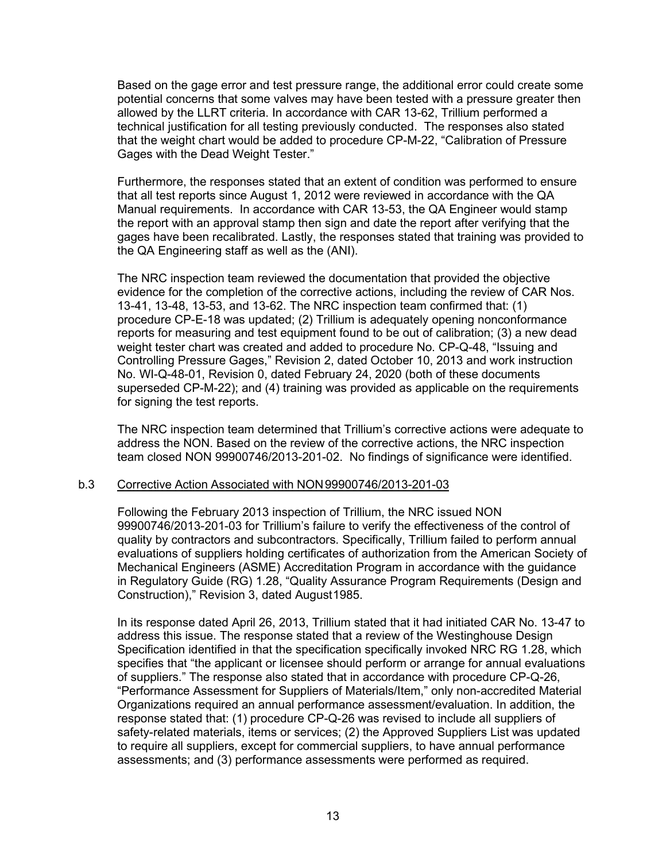Based on the gage error and test pressure range, the additional error could create some potential concerns that some valves may have been tested with a pressure greater then allowed by the LLRT criteria. In accordance with CAR 13-62, Trillium performed a technical justification for all testing previously conducted. The responses also stated that the weight chart would be added to procedure CP-M-22, "Calibration of Pressure Gages with the Dead Weight Tester."

Furthermore, the responses stated that an extent of condition was performed to ensure that all test reports since August 1, 2012 were reviewed in accordance with the QA Manual requirements. In accordance with CAR 13-53, the QA Engineer would stamp the report with an approval stamp then sign and date the report after verifying that the gages have been recalibrated. Lastly, the responses stated that training was provided to the QA Engineering staff as well as the (ANI).

The NRC inspection team reviewed the documentation that provided the objective evidence for the completion of the corrective actions, including the review of CAR Nos. 13-41, 13-48, 13-53, and 13-62. The NRC inspection team confirmed that: (1) procedure CP-E-18 was updated; (2) Trillium is adequately opening nonconformance reports for measuring and test equipment found to be out of calibration; (3) a new dead weight tester chart was created and added to procedure No. CP-Q-48, "Issuing and Controlling Pressure Gages," Revision 2, dated October 10, 2013 and work instruction No. WI-Q-48-01, Revision 0, dated February 24, 2020 (both of these documents superseded CP-M-22); and (4) training was provided as applicable on the requirements for signing the test reports.

The NRC inspection team determined that Trillium's corrective actions were adequate to address the NON. Based on the review of the corrective actions, the NRC inspection team closed NON 99900746/2013-201-02. No findings of significance were identified.

#### b.3 Corrective Action Associated with NON99900746/2013-201-03

Following the February 2013 inspection of Trillium, the NRC issued NON 99900746/2013-201-03 for Trillium's failure to verify the effectiveness of the control of quality by contractors and subcontractors. Specifically, Trillium failed to perform annual evaluations of suppliers holding certificates of authorization from the American Society of Mechanical Engineers (ASME) Accreditation Program in accordance with the guidance in Regulatory Guide (RG) 1.28, "Quality Assurance Program Requirements (Design and Construction)," Revision 3, dated August1985.

In its response dated April 26, 2013, Trillium stated that it had initiated CAR No. 13-47 to address this issue. The response stated that a review of the Westinghouse Design Specification identified in that the specification specifically invoked NRC RG 1.28, which specifies that "the applicant or licensee should perform or arrange for annual evaluations of suppliers." The response also stated that in accordance with procedure CP-Q-26, "Performance Assessment for Suppliers of Materials/Item," only non-accredited Material Organizations required an annual performance assessment/evaluation. In addition, the response stated that: (1) procedure CP-Q-26 was revised to include all suppliers of safety-related materials, items or services; (2) the Approved Suppliers List was updated to require all suppliers, except for commercial suppliers, to have annual performance assessments; and (3) performance assessments were performed as required.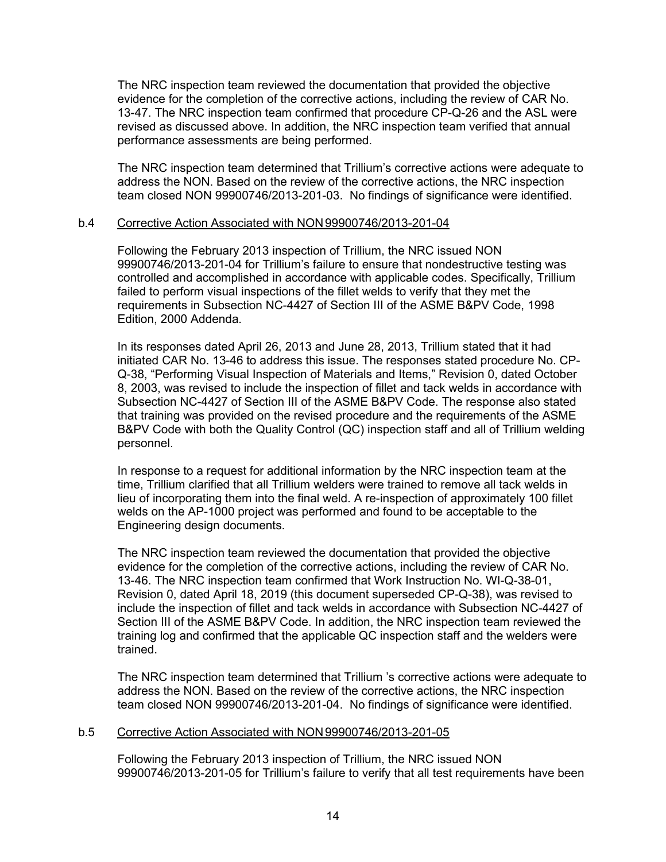The NRC inspection team reviewed the documentation that provided the objective evidence for the completion of the corrective actions, including the review of CAR No. 13-47. The NRC inspection team confirmed that procedure CP-Q-26 and the ASL were revised as discussed above. In addition, the NRC inspection team verified that annual performance assessments are being performed.

The NRC inspection team determined that Trillium's corrective actions were adequate to address the NON. Based on the review of the corrective actions, the NRC inspection team closed NON 99900746/2013-201-03. No findings of significance were identified.

#### b.4 Corrective Action Associated with NON99900746/2013-201-04

Following the February 2013 inspection of Trillium, the NRC issued NON 99900746/2013-201-04 for Trillium's failure to ensure that nondestructive testing was controlled and accomplished in accordance with applicable codes. Specifically, Trillium failed to perform visual inspections of the fillet welds to verify that they met the requirements in Subsection NC-4427 of Section III of the ASME B&PV Code, 1998 Edition, 2000 Addenda.

In its responses dated April 26, 2013 and June 28, 2013, Trillium stated that it had initiated CAR No. 13-46 to address this issue. The responses stated procedure No. CP-Q-38, "Performing Visual Inspection of Materials and Items," Revision 0, dated October 8, 2003, was revised to include the inspection of fillet and tack welds in accordance with Subsection NC-4427 of Section III of the ASME B&PV Code. The response also stated that training was provided on the revised procedure and the requirements of the ASME B&PV Code with both the Quality Control (QC) inspection staff and all of Trillium welding personnel.

In response to a request for additional information by the NRC inspection team at the time, Trillium clarified that all Trillium welders were trained to remove all tack welds in lieu of incorporating them into the final weld. A re-inspection of approximately 100 fillet welds on the AP-1000 project was performed and found to be acceptable to the Engineering design documents.

The NRC inspection team reviewed the documentation that provided the objective evidence for the completion of the corrective actions, including the review of CAR No. 13-46. The NRC inspection team confirmed that Work Instruction No. WI-Q-38-01, Revision 0, dated April 18, 2019 (this document superseded CP-Q-38), was revised to include the inspection of fillet and tack welds in accordance with Subsection NC-4427 of Section III of the ASME B&PV Code. In addition, the NRC inspection team reviewed the training log and confirmed that the applicable QC inspection staff and the welders were trained.

The NRC inspection team determined that Trillium 's corrective actions were adequate to address the NON. Based on the review of the corrective actions, the NRC inspection team closed NON 99900746/2013-201-04. No findings of significance were identified.

# b.5 Corrective Action Associated with NON99900746/2013-201-05

Following the February 2013 inspection of Trillium, the NRC issued NON 99900746/2013-201-05 for Trillium's failure to verify that all test requirements have been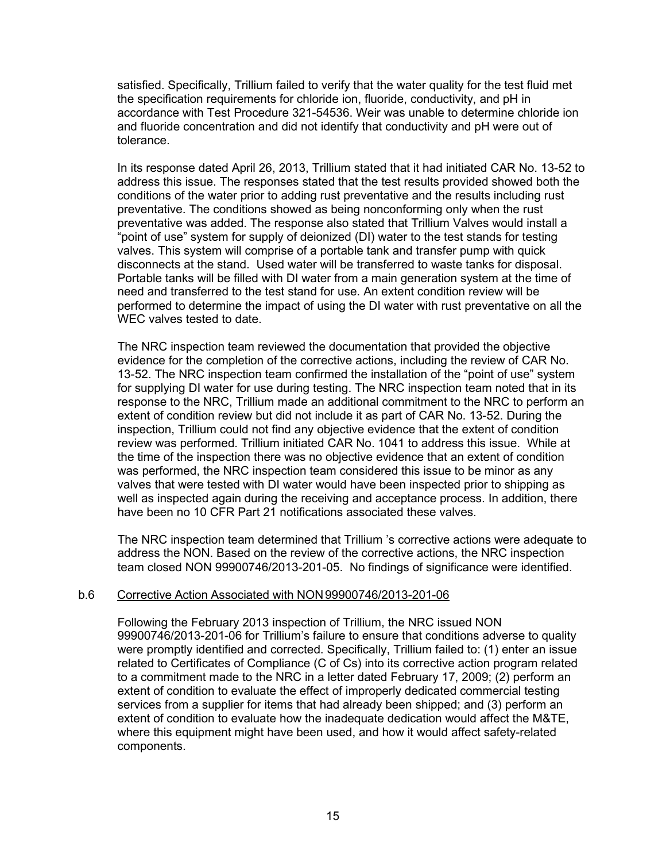satisfied. Specifically, Trillium failed to verify that the water quality for the test fluid met the specification requirements for chloride ion, fluoride, conductivity, and pH in accordance with Test Procedure 321-54536. Weir was unable to determine chloride ion and fluoride concentration and did not identify that conductivity and pH were out of tolerance.

In its response dated April 26, 2013, Trillium stated that it had initiated CAR No. 13-52 to address this issue. The responses stated that the test results provided showed both the conditions of the water prior to adding rust preventative and the results including rust preventative. The conditions showed as being nonconforming only when the rust preventative was added. The response also stated that Trillium Valves would install a "point of use" system for supply of deionized (DI) water to the test stands for testing valves. This system will comprise of a portable tank and transfer pump with quick disconnects at the stand. Used water will be transferred to waste tanks for disposal. Portable tanks will be filled with DI water from a main generation system at the time of need and transferred to the test stand for use. An extent condition review will be performed to determine the impact of using the DI water with rust preventative on all the WEC valves tested to date.

The NRC inspection team reviewed the documentation that provided the objective evidence for the completion of the corrective actions, including the review of CAR No. 13-52. The NRC inspection team confirmed the installation of the "point of use" system for supplying DI water for use during testing. The NRC inspection team noted that in its response to the NRC, Trillium made an additional commitment to the NRC to perform an extent of condition review but did not include it as part of CAR No. 13-52. During the inspection, Trillium could not find any objective evidence that the extent of condition review was performed. Trillium initiated CAR No. 1041 to address this issue. While at the time of the inspection there was no objective evidence that an extent of condition was performed, the NRC inspection team considered this issue to be minor as any valves that were tested with DI water would have been inspected prior to shipping as well as inspected again during the receiving and acceptance process. In addition, there have been no 10 CFR Part 21 notifications associated these valves.

The NRC inspection team determined that Trillium 's corrective actions were adequate to address the NON. Based on the review of the corrective actions, the NRC inspection team closed NON 99900746/2013-201-05. No findings of significance were identified.

#### b.6 Corrective Action Associated with NON99900746/2013-201-06

Following the February 2013 inspection of Trillium, the NRC issued NON 99900746/2013-201-06 for Trillium's failure to ensure that conditions adverse to quality were promptly identified and corrected. Specifically, Trillium failed to: (1) enter an issue related to Certificates of Compliance (C of Cs) into its corrective action program related to a commitment made to the NRC in a letter dated February 17, 2009; (2) perform an extent of condition to evaluate the effect of improperly dedicated commercial testing services from a supplier for items that had already been shipped; and (3) perform an extent of condition to evaluate how the inadequate dedication would affect the M&TE, where this equipment might have been used, and how it would affect safety-related components.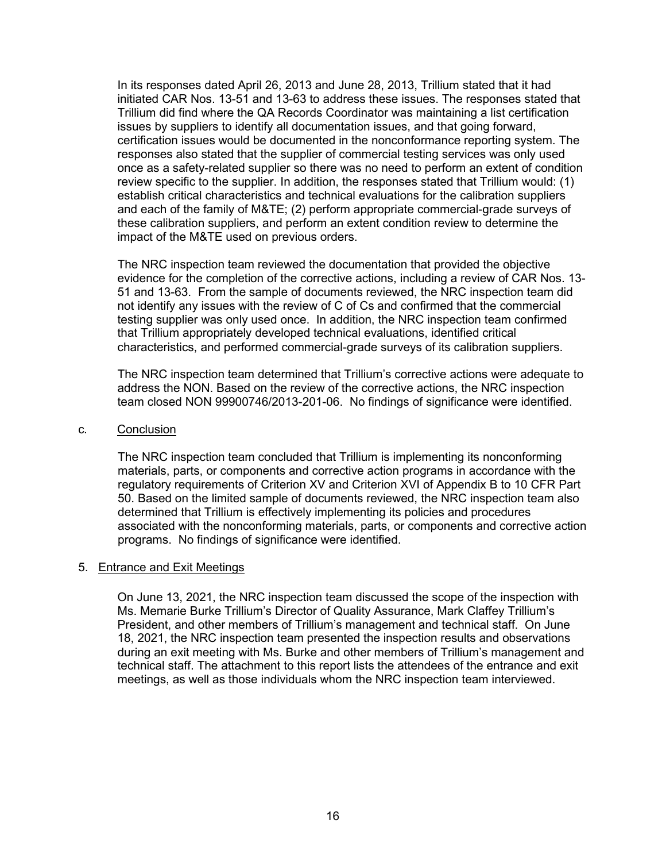In its responses dated April 26, 2013 and June 28, 2013, Trillium stated that it had initiated CAR Nos. 13-51 and 13-63 to address these issues. The responses stated that Trillium did find where the QA Records Coordinator was maintaining a list certification issues by suppliers to identify all documentation issues, and that going forward, certification issues would be documented in the nonconformance reporting system. The responses also stated that the supplier of commercial testing services was only used once as a safety-related supplier so there was no need to perform an extent of condition review specific to the supplier. In addition, the responses stated that Trillium would: (1) establish critical characteristics and technical evaluations for the calibration suppliers and each of the family of M&TE; (2) perform appropriate commercial-grade surveys of these calibration suppliers, and perform an extent condition review to determine the impact of the M&TE used on previous orders.

The NRC inspection team reviewed the documentation that provided the objective evidence for the completion of the corrective actions, including a review of CAR Nos. 13- 51 and 13-63. From the sample of documents reviewed, the NRC inspection team did not identify any issues with the review of C of Cs and confirmed that the commercial testing supplier was only used once. In addition, the NRC inspection team confirmed that Trillium appropriately developed technical evaluations, identified critical characteristics, and performed commercial-grade surveys of its calibration suppliers.

The NRC inspection team determined that Trillium's corrective actions were adequate to address the NON. Based on the review of the corrective actions, the NRC inspection team closed NON 99900746/2013-201-06. No findings of significance were identified.

#### c. Conclusion

The NRC inspection team concluded that Trillium is implementing its nonconforming materials, parts, or components and corrective action programs in accordance with the regulatory requirements of Criterion XV and Criterion XVI of Appendix B to 10 CFR Part 50. Based on the limited sample of documents reviewed, the NRC inspection team also determined that Trillium is effectively implementing its policies and procedures associated with the nonconforming materials, parts, or components and corrective action programs. No findings of significance were identified.

#### 5. Entrance and Exit Meetings

On June 13, 2021, the NRC inspection team discussed the scope of the inspection with Ms. Memarie Burke Trillium's Director of Quality Assurance, Mark Claffey Trillium's President, and other members of Trillium's management and technical staff. On June 18, 2021, the NRC inspection team presented the inspection results and observations during an exit meeting with Ms. Burke and other members of Trillium's management and technical staff. The attachment to this report lists the attendees of the entrance and exit meetings, as well as those individuals whom the NRC inspection team interviewed.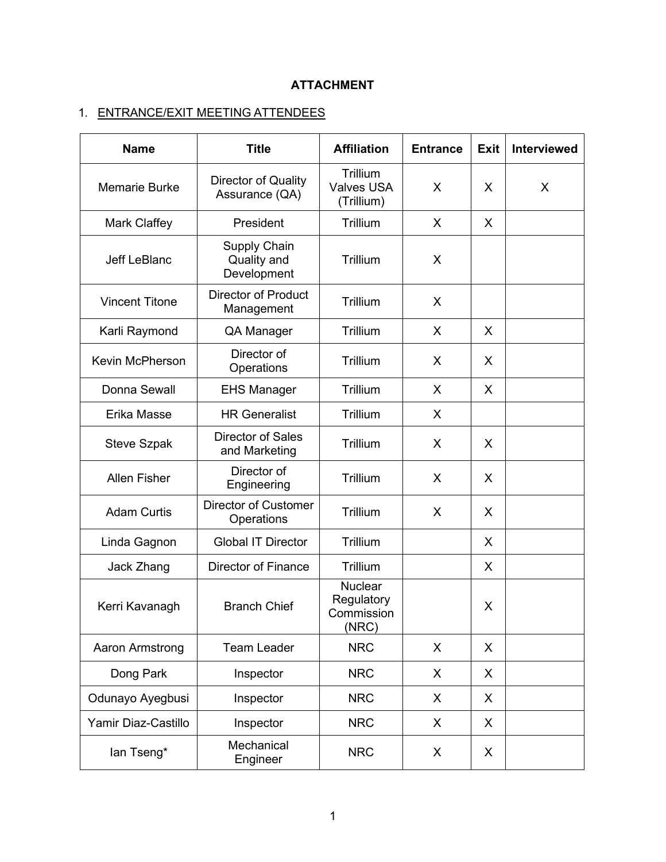# **ATTACHMENT**

# 1. ENTRANCE/EXIT MEETING ATTENDEES

| <b>Name</b>            | <b>Title</b>                                      | <b>Affiliation</b>                                  | <b>Entrance</b> | <b>Exit</b> | <b>Interviewed</b> |
|------------------------|---------------------------------------------------|-----------------------------------------------------|-----------------|-------------|--------------------|
| <b>Memarie Burke</b>   | Director of Quality<br>Assurance (QA)             | Trillium<br><b>Valves USA</b><br>(Trillium)         | X               | X           | X                  |
| <b>Mark Claffey</b>    | President                                         | Trillium                                            | X               | X           |                    |
| <b>Jeff LeBlanc</b>    | <b>Supply Chain</b><br>Quality and<br>Development | Trillium                                            | X               |             |                    |
| <b>Vincent Titone</b>  | <b>Director of Product</b><br>Management          | Trillium                                            | X               |             |                    |
| Karli Raymond          | QA Manager                                        | Trillium                                            | X               | X           |                    |
| <b>Kevin McPherson</b> | Director of<br>Operations                         | Trillium                                            | X               | X           |                    |
| Donna Sewall           | <b>EHS Manager</b>                                | Trillium                                            | X               | X           |                    |
| Erika Masse            | <b>HR Generalist</b>                              | Trillium                                            | X               |             |                    |
| <b>Steve Szpak</b>     | <b>Director of Sales</b><br>and Marketing         | Trillium                                            | X               | X           |                    |
| <b>Allen Fisher</b>    | Director of<br>Engineering                        | Trillium                                            | X               | X           |                    |
| <b>Adam Curtis</b>     | <b>Director of Customer</b><br>Operations         | Trillium                                            | X               | X           |                    |
| Linda Gagnon           | <b>Global IT Director</b>                         | Trillium                                            |                 | X           |                    |
| Jack Zhang             | <b>Director of Finance</b>                        | Trillium                                            |                 | X           |                    |
| Kerri Kavanagh         | <b>Branch Chief</b>                               | <b>Nuclear</b><br>Regulatory<br>Commission<br>(NRC) |                 | X           |                    |
| Aaron Armstrong        | <b>Team Leader</b>                                | <b>NRC</b>                                          | X               | X           |                    |
| Dong Park              | Inspector                                         | <b>NRC</b>                                          | X.              | X           |                    |
| Odunayo Ayegbusi       | Inspector                                         | <b>NRC</b>                                          | X.              | X           |                    |
| Yamir Diaz-Castillo    | Inspector                                         | <b>NRC</b>                                          | X.              | X           |                    |
| lan Tseng*             | Mechanical<br>Engineer                            | <b>NRC</b>                                          | X               | X           |                    |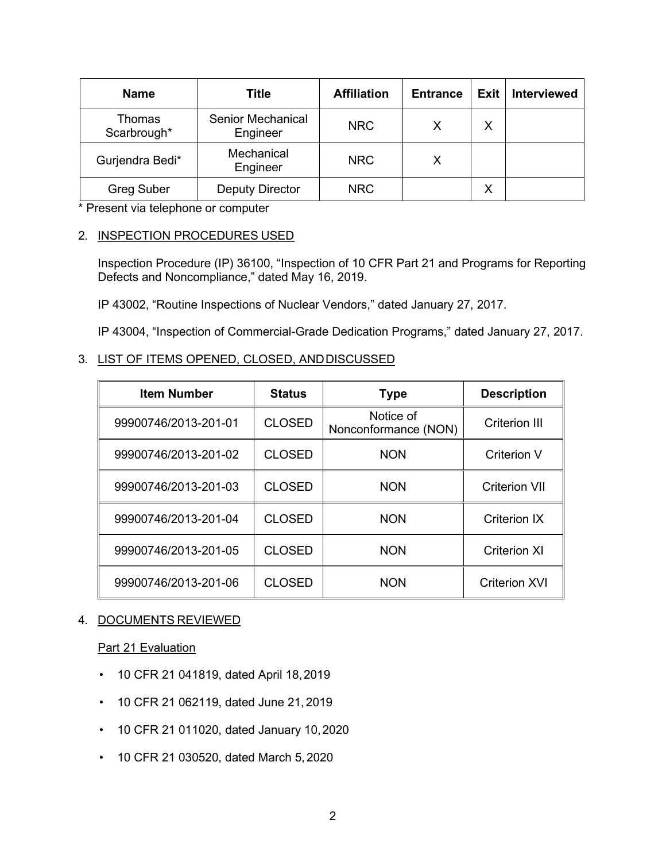| <b>Name</b>           | Title                                | <b>Affiliation</b> | <b>Entrance</b> | <b>Exit</b> | Interviewed |
|-----------------------|--------------------------------------|--------------------|-----------------|-------------|-------------|
| Thomas<br>Scarbrough* | <b>Senior Mechanical</b><br>Engineer | <b>NRC</b>         | X               | X           |             |
| Gurjendra Bedi*       | Mechanical<br>Engineer               | <b>NRC</b>         | X               |             |             |
| <b>Greg Suber</b>     | <b>Deputy Director</b>               | NRC                |                 | X           |             |

\* Present via telephone or computer

## 2. INSPECTION PROCEDURES USED

Inspection Procedure (IP) 36100, "Inspection of 10 CFR Part 21 and Programs for Reporting Defects and Noncompliance," dated May 16, 2019.

IP 43002, "Routine Inspections of Nuclear Vendors," dated January 27, 2017.

IP 43004, "Inspection of Commercial-Grade Dedication Programs," dated January 27, 2017.

## 3. LIST OF ITEMS OPENED, CLOSED, ANDDISCUSSED

| <b>Item Number</b>   | <b>Status</b> | <b>Type</b>                       | <b>Description</b>   |
|----------------------|---------------|-----------------------------------|----------------------|
| 99900746/2013-201-01 | <b>CLOSED</b> | Notice of<br>Nonconformance (NON) | <b>Criterion III</b> |
| 99900746/2013-201-02 | <b>CLOSED</b> | <b>NON</b>                        | Criterion V          |
| 99900746/2013-201-03 | <b>CLOSED</b> | <b>NON</b>                        | <b>Criterion VII</b> |
| 99900746/2013-201-04 | <b>CLOSED</b> | <b>NON</b>                        | <b>Criterion IX</b>  |
| 99900746/2013-201-05 | <b>CLOSED</b> | <b>NON</b>                        | <b>Criterion XI</b>  |
| 99900746/2013-201-06 | <b>CLOSED</b> | <b>NON</b>                        | <b>Criterion XVI</b> |

# 4. DOCUMENTS REVIEWED

# Part 21 Evaluation

- 10 CFR 21 041819, dated April 18,2019
- 10 CFR 21 062119, dated June 21, 2019
- 10 CFR 21 011020, dated January 10,2020
- 10 CFR 21 030520, dated March 5, 2020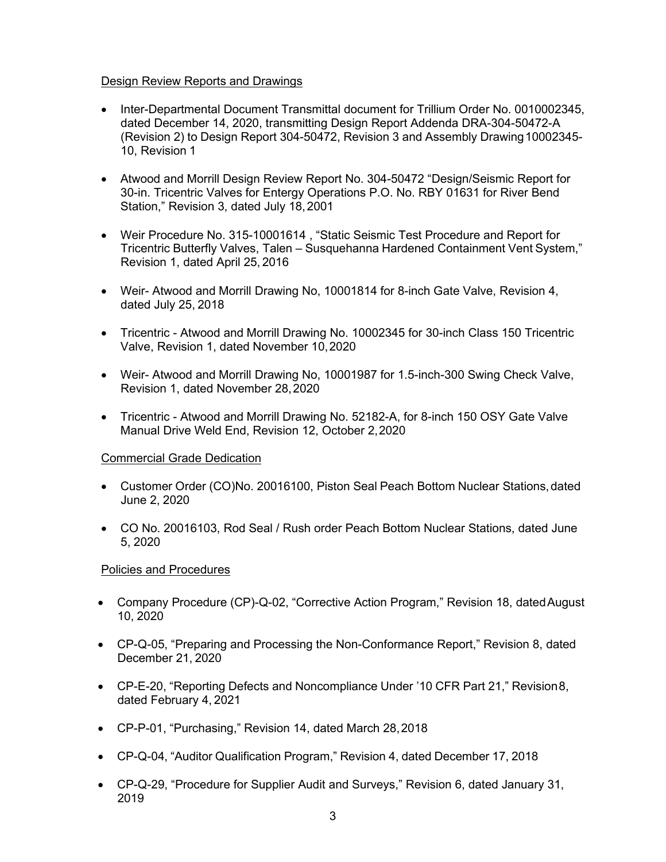# Design Review Reports and Drawings

- Inter-Departmental Document Transmittal document for Trillium Order No. 0010002345, dated December 14, 2020, transmitting Design Report Addenda DRA-304-50472-A (Revision 2) to Design Report 304-50472, Revision 3 and Assembly Drawing10002345- 10, Revision 1
- Atwood and Morrill Design Review Report No. 304-50472 "Design/Seismic Report for 30-in. Tricentric Valves for Entergy Operations P.O. No. RBY 01631 for River Bend Station," Revision 3, dated July 18,2001
- Weir Procedure No. 315-10001614 , "Static Seismic Test Procedure and Report for Tricentric Butterfly Valves, Talen – Susquehanna Hardened Containment Vent System," Revision 1, dated April 25, 2016
- Weir- Atwood and Morrill Drawing No, 10001814 for 8-inch Gate Valve, Revision 4, dated July 25, 2018
- Tricentric Atwood and Morrill Drawing No. 10002345 for 30-inch Class 150 Tricentric Valve, Revision 1, dated November 10,2020
- Weir- Atwood and Morrill Drawing No, 10001987 for 1.5-inch-300 Swing Check Valve, Revision 1, dated November 28,2020
- Tricentric Atwood and Morrill Drawing No. 52182-A, for 8-inch 150 OSY Gate Valve Manual Drive Weld End, Revision 12, October 2,2020

# Commercial Grade Dedication

- Customer Order (CO)No. 20016100, Piston Seal Peach Bottom Nuclear Stations, dated June 2, 2020
- CO No. 20016103, Rod Seal / Rush order Peach Bottom Nuclear Stations, dated June 5, 2020

# Policies and Procedures

- Company Procedure (CP)-Q-02, "Corrective Action Program," Revision 18, datedAugust 10, 2020
- CP-Q-05, "Preparing and Processing the Non-Conformance Report," Revision 8, dated December 21, 2020
- CP-E-20, "Reporting Defects and Noncompliance Under '10 CFR Part 21," Revision8, dated February 4, 2021
- CP-P-01, "Purchasing," Revision 14, dated March 28,2018
- CP-Q-04, "Auditor Qualification Program," Revision 4, dated December 17, 2018
- CP-Q-29, "Procedure for Supplier Audit and Surveys," Revision 6, dated January 31, 2019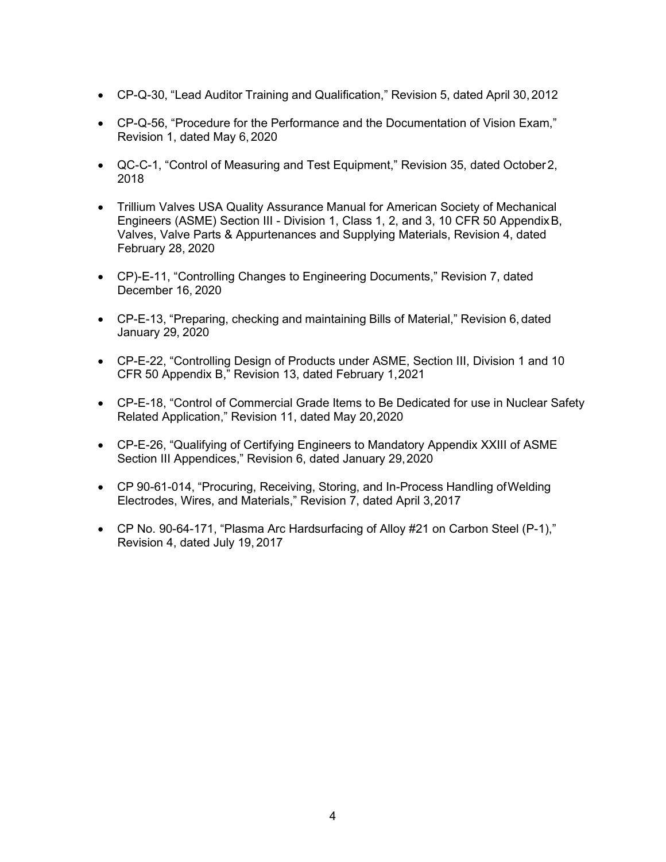- CP-Q-30, "Lead Auditor Training and Qualification," Revision 5, dated April 30, 2012
- CP-Q-56, "Procedure for the Performance and the Documentation of Vision Exam," Revision 1, dated May 6,2020
- QC-C-1, "Control of Measuring and Test Equipment," Revision 35, dated October2, 2018
- Trillium Valves USA Quality Assurance Manual for American Society of Mechanical Engineers (ASME) Section III - Division 1, Class 1, 2, and 3, 10 CFR 50 AppendixB, Valves, Valve Parts & Appurtenances and Supplying Materials, Revision 4, dated February 28, 2020
- CP)-E-11, "Controlling Changes to Engineering Documents," Revision 7, dated December 16, 2020
- CP-E-13, "Preparing, checking and maintaining Bills of Material," Revision 6, dated January 29, 2020
- CP-E-22, "Controlling Design of Products under ASME, Section III, Division 1 and 10 CFR 50 Appendix B," Revision 13, dated February 1,2021
- CP-E-18, "Control of Commercial Grade Items to Be Dedicated for use in Nuclear Safety Related Application," Revision 11, dated May 20,2020
- CP-E-26, "Qualifying of Certifying Engineers to Mandatory Appendix XXIII of ASME Section III Appendices," Revision 6, dated January 29,2020
- CP 90-61-014, "Procuring, Receiving, Storing, and In-Process Handling ofWelding Electrodes, Wires, and Materials," Revision 7, dated April 3,2017
- CP No. 90-64-171, "Plasma Arc Hardsurfacing of Alloy #21 on Carbon Steel (P-1)," Revision 4, dated July 19, 2017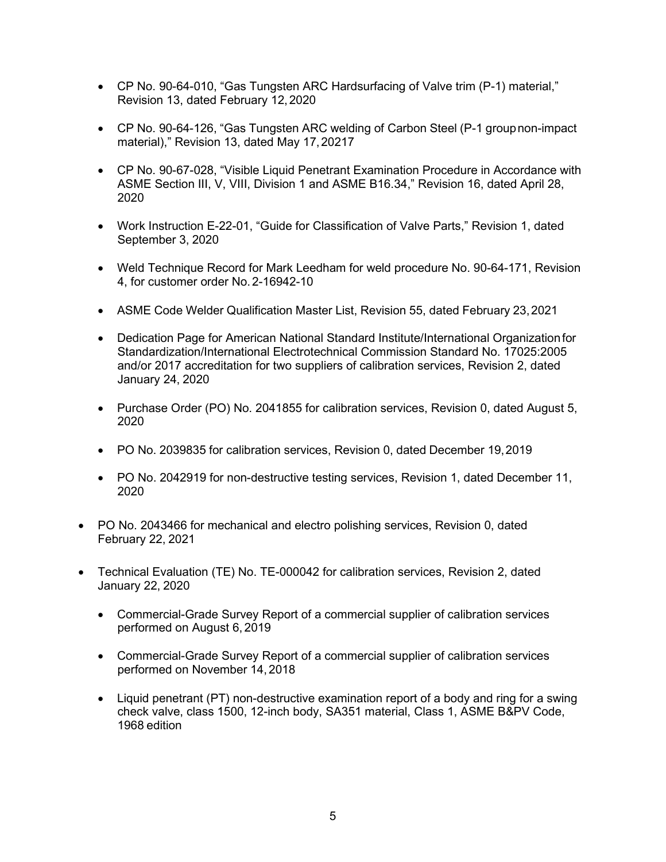- CP No. 90-64-010, "Gas Tungsten ARC Hardsurfacing of Valve trim (P-1) material," Revision 13, dated February 12,2020
- CP No. 90-64-126, "Gas Tungsten ARC welding of Carbon Steel (P-1 groupnon-impact material)," Revision 13, dated May 17,20217
- CP No. 90-67-028, "Visible Liquid Penetrant Examination Procedure in Accordance with ASME Section III, V, VIII, Division 1 and ASME B16.34," Revision 16, dated April 28, 2020
- Work Instruction E-22-01, "Guide for Classification of Valve Parts," Revision 1, dated September 3, 2020
- Weld Technique Record for Mark Leedham for weld procedure No. 90-64-171, Revision 4, for customer order No.2-16942-10
- ASME Code Welder Qualification Master List, Revision 55, dated February 23,2021
- Dedication Page for American National Standard Institute/International Organizationfor Standardization/International Electrotechnical Commission Standard No. 17025:2005 and/or 2017 accreditation for two suppliers of calibration services, Revision 2, dated January 24, 2020
- Purchase Order (PO) No. 2041855 for calibration services, Revision 0, dated August 5, 2020
- PO No. 2039835 for calibration services, Revision 0, dated December 19,2019
- PO No. 2042919 for non-destructive testing services, Revision 1, dated December 11, 2020
- PO No. 2043466 for mechanical and electro polishing services, Revision 0, dated February 22, 2021
- Technical Evaluation (TE) No. TE-000042 for calibration services, Revision 2, dated January 22, 2020
	- Commercial-Grade Survey Report of a commercial supplier of calibration services performed on August 6, 2019
	- Commercial-Grade Survey Report of a commercial supplier of calibration services performed on November 14, 2018
	- Liquid penetrant (PT) non-destructive examination report of a body and ring for a swing check valve, class 1500, 12-inch body, SA351 material, Class 1, ASME B&PV Code, 1968 edition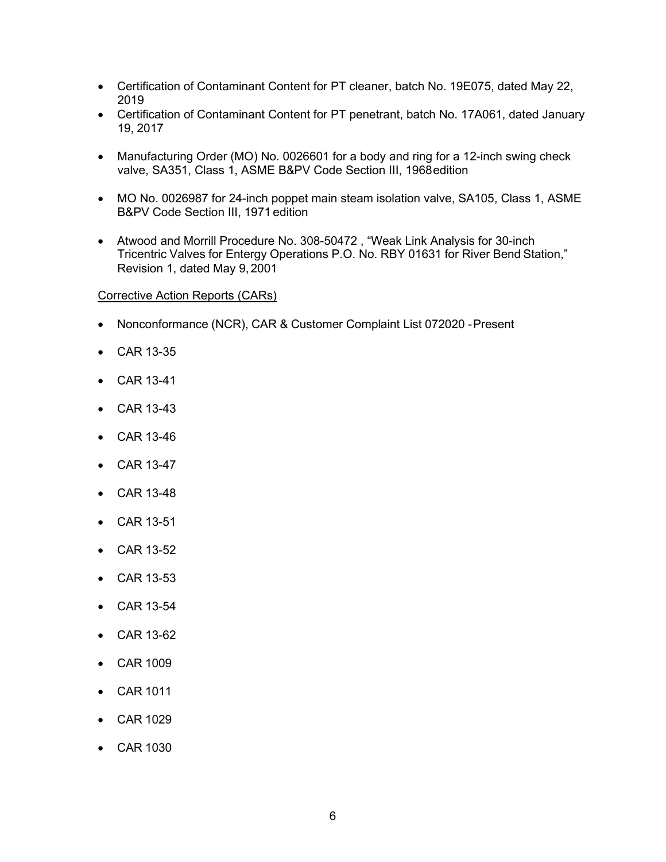- Certification of Contaminant Content for PT cleaner, batch No. 19E075, dated May 22, 2019
- Certification of Contaminant Content for PT penetrant, batch No. 17A061, dated January 19, 2017
- Manufacturing Order (MO) No. 0026601 for a body and ring for a 12-inch swing check valve, SA351, Class 1, ASME B&PV Code Section III, 1968edition
- MO No. 0026987 for 24-inch poppet main steam isolation valve, SA105, Class 1, ASME B&PV Code Section III, 1971 edition
- Atwood and Morrill Procedure No. 308-50472 , "Weak Link Analysis for 30-inch Tricentric Valves for Entergy Operations P.O. No. RBY 01631 for River Bend Station," Revision 1, dated May 9,2001

# Corrective Action Reports (CARs)

- Nonconformance (NCR), CAR & Customer Complaint List 072020 -Present
- CAR 13-35
- CAR 13-41
- CAR 13-43
- CAR 13-46
- CAR 13-47
- CAR 13-48
- CAR 13-51
- CAR 13-52
- CAR 13-53
- CAR 13-54
- CAR 13-62
- CAR 1009
- CAR 1011
- CAR 1029
- CAR 1030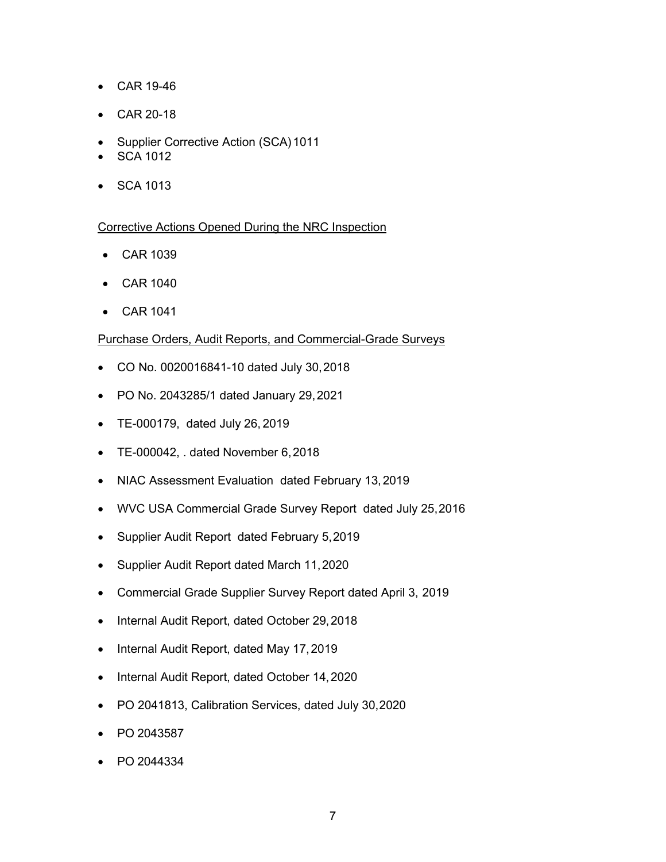- CAR 19-46
- CAR 20-18
- Supplier Corrective Action (SCA) 1011
- SCA 1012
- SCA 1013

# Corrective Actions Opened During the NRC Inspection

- CAR 1039
- CAR 1040
- CAR 1041

## Purchase Orders, Audit Reports, and Commercial-Grade Surveys

- CO No. 0020016841-10 dated July 30,2018
- PO No. 2043285/1 dated January 29,2021
- TE-000179, dated July 26, 2019
- TE-000042, . dated November 6,2018
- NIAC Assessment Evaluation dated February 13,2019
- WVC USA Commercial Grade Survey Report dated July 25,2016
- Supplier Audit Report dated February 5,2019
- Supplier Audit Report dated March 11,2020
- Commercial Grade Supplier Survey Report dated April 3, 2019
- Internal Audit Report, dated October 29,2018
- Internal Audit Report, dated May 17,2019
- Internal Audit Report, dated October 14,2020
- PO 2041813, Calibration Services, dated July 30,2020
- PO 2043587
- PO 2044334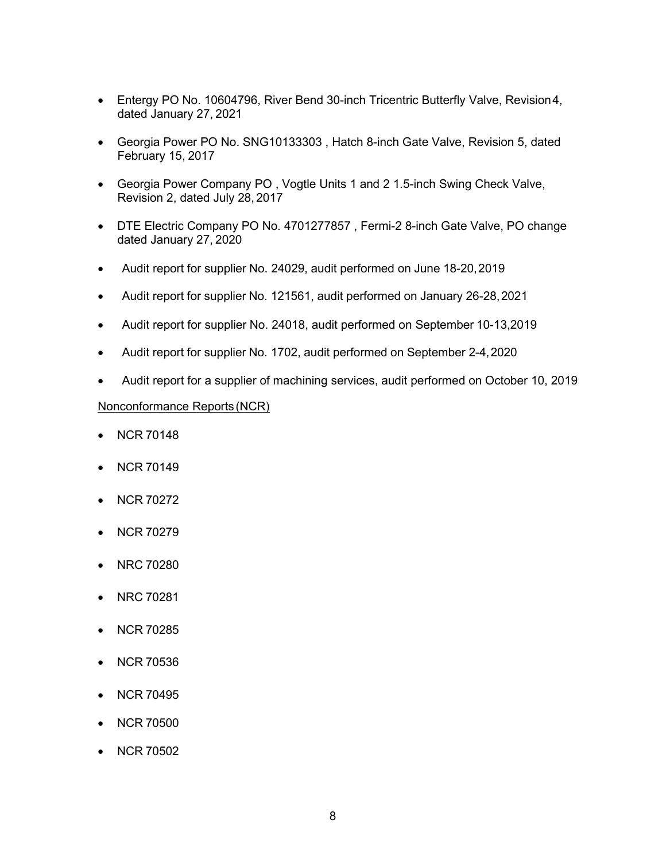- Entergy PO No. 10604796, River Bend 30-inch Tricentric Butterfly Valve, Revision 4, dated January 27, 2021
- Georgia Power PO No. SNG10133303 , Hatch 8-inch Gate Valve, Revision 5, dated February 15, 2017
- Georgia Power Company PO , Vogtle Units 1 and 2 1.5-inch Swing Check Valve, Revision 2, dated July 28, 2017
- DTE Electric Company PO No. 4701277857 , Fermi-2 8-inch Gate Valve, PO change dated January 27, 2020
- Audit report for supplier No. 24029, audit performed on June 18-20,2019
- Audit report for supplier No. 121561, audit performed on January 26-28,2021
- Audit report for supplier No. 24018, audit performed on September 10-13,2019
- Audit report for supplier No. 1702, audit performed on September 2-4,2020
- Audit report for a supplier of machining services, audit performed on October 10, 2019

## Nonconformance Reports (NCR)

- NCR 70148
- NCR 70149
- NCR 70272
- NCR 70279
- NRC 70280
- NRC 70281
- NCR 70285
- NCR 70536
- NCR 70495
- NCR 70500
- NCR 70502